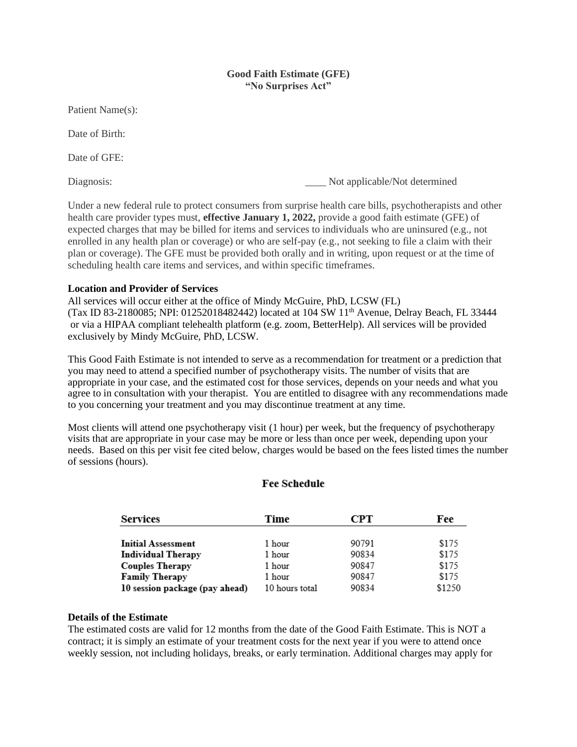# **Good Faith Estimate (GFE) "No Surprises Act"**

Patient Name(s):

Date of Birth:

Date of GFE:

Diagnosis: Not applicable/Not determined

Under a new federal rule to protect consumers from surprise health care bills, psychotherapists and other health care provider types must, **effective January 1, 2022,** provide a good faith estimate (GFE) of expected charges that may be billed for items and services to individuals who are uninsured (e.g., not enrolled in any health plan or coverage) or who are self-pay (e.g., not seeking to file a claim with their plan or coverage). The GFE must be provided both orally and in writing, upon request or at the time of scheduling health care items and services, and within specific timeframes.

# **Location and Provider of Services**

All services will occur either at the office of Mindy McGuire, PhD, LCSW (FL) (Tax ID 83-2180085; NPI: 01252018482442) located at 104 SW 11<sup>th</sup> Avenue, Delray Beach, FL 33444 or via a HIPAA compliant telehealth platform (e.g. zoom, BetterHelp). All services will be provided exclusively by Mindy McGuire, PhD, LCSW.

This Good Faith Estimate is not intended to serve as a recommendation for treatment or a prediction that you may need to attend a specified number of psychotherapy visits. The number of visits that are appropriate in your case, and the estimated cost for those services, depends on your needs and what you agree to in consultation with your therapist. You are entitled to disagree with any recommendations made to you concerning your treatment and you may discontinue treatment at any time.

Most clients will attend one psychotherapy visit (1 hour) per week, but the frequency of psychotherapy visits that are appropriate in your case may be more or less than once per week, depending upon your needs. Based on this per visit fee cited below, charges would be based on the fees listed times the number of sessions (hours).

# **Fee Schedule**

| <b>Services</b>                | Time           | СРТ   | Fee    |
|--------------------------------|----------------|-------|--------|
|                                |                |       |        |
| <b>Initial Assessment</b>      | 1 hour         | 90791 | \$175  |
| <b>Individual Therapy</b>      | 1 hour         | 90834 | \$175  |
| <b>Couples Therapy</b>         | 1 hour         | 90847 | \$175  |
| <b>Family Therapy</b>          | 1 hour         | 90847 | \$175  |
| 10 session package (pay ahead) | 10 hours total | 90834 | \$1250 |

# **Details of the Estimate**

The estimated costs are valid for 12 months from the date of the Good Faith Estimate. This is NOT a contract; it is simply an estimate of your treatment costs for the next year if you were to attend once weekly session, not including holidays, breaks, or early termination. Additional charges may apply for